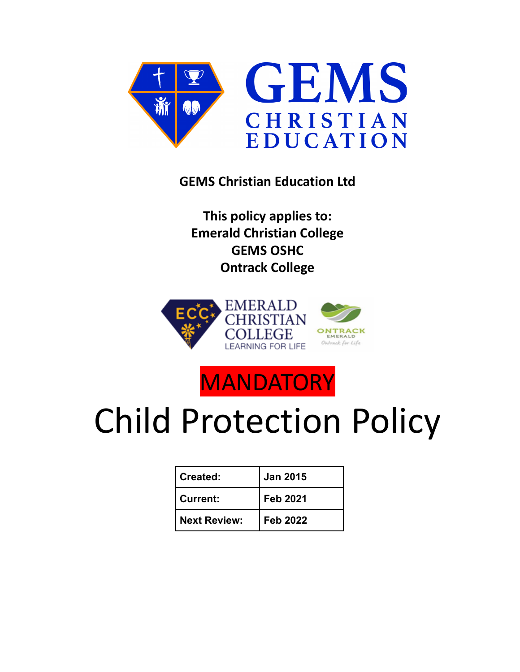

**GEMS Christian Education Ltd**

**This policy applies to: Emerald Christian College GEMS OSHC Ontrack College**



## **MANDATORY**

# Child Protection Policy

| Created:            | <b>Jan 2015</b> |
|---------------------|-----------------|
| <b>Current:</b>     | <b>Feb 2021</b> |
| <b>Next Review:</b> | <b>Feb 2022</b> |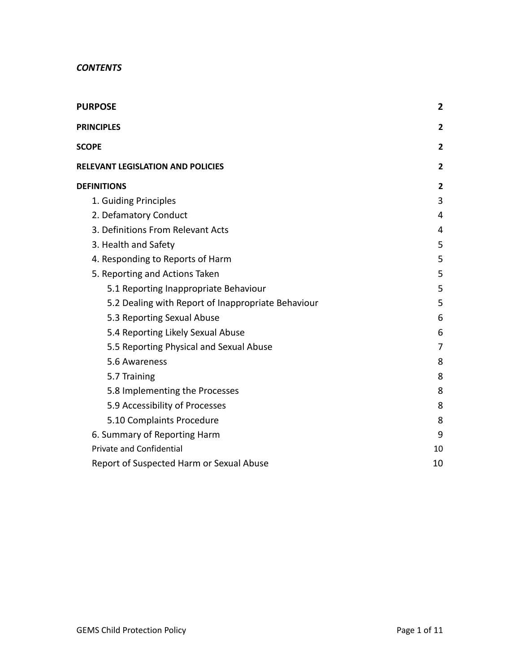| <b>PURPOSE</b>                                     | $\overline{2}$ |
|----------------------------------------------------|----------------|
| <b>PRINCIPLES</b>                                  | $\overline{2}$ |
| <b>SCOPE</b>                                       | $\overline{2}$ |
| RELEVANT LEGISLATION AND POLICIES                  | $\overline{2}$ |
| <b>DEFINITIONS</b>                                 | $\overline{2}$ |
| 1. Guiding Principles                              | 3              |
| 2. Defamatory Conduct                              | 4              |
| 3. Definitions From Relevant Acts                  | 4              |
| 3. Health and Safety                               | 5              |
| 4. Responding to Reports of Harm                   | 5              |
| 5. Reporting and Actions Taken                     | 5              |
| 5.1 Reporting Inappropriate Behaviour              | 5              |
| 5.2 Dealing with Report of Inappropriate Behaviour | 5              |
| 5.3 Reporting Sexual Abuse                         | 6              |
| 5.4 Reporting Likely Sexual Abuse                  | 6              |
| 5.5 Reporting Physical and Sexual Abuse            | 7              |
| 5.6 Awareness                                      | 8              |
| 5.7 Training                                       | 8              |
| 5.8 Implementing the Processes                     | 8              |
| 5.9 Accessibility of Processes                     | 8              |
| 5.10 Complaints Procedure                          | 8              |
| 6. Summary of Reporting Harm                       | 9              |
| <b>Private and Confidential</b>                    | 10             |
| Report of Suspected Harm or Sexual Abuse           | 10             |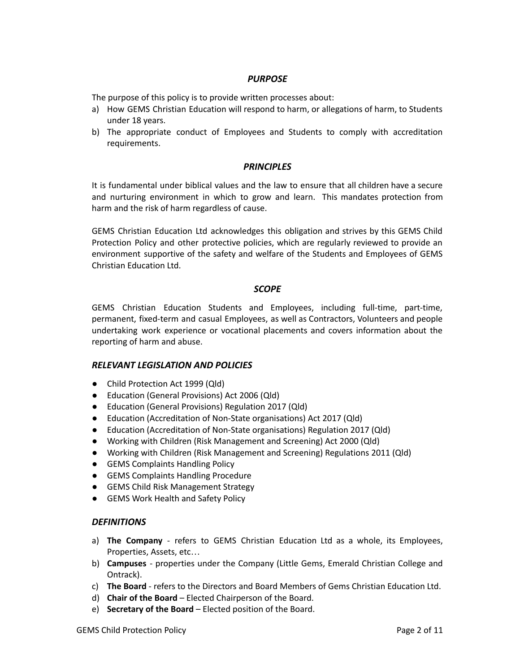#### *PURPOSE*

<span id="page-2-0"></span>The purpose of this policy is to provide written processes about:

- a) How GEMS Christian Education will respond to harm, or allegations of harm, to Students under 18 years.
- b) The appropriate conduct of Employees and Students to comply with accreditation requirements.

#### *PRINCIPLES*

<span id="page-2-1"></span>It is fundamental under biblical values and the law to ensure that all children have a secure and nurturing environment in which to grow and learn. This mandates protection from harm and the risk of harm regardless of cause.

GEMS Christian Education Ltd acknowledges this obligation and strives by this GEMS Child Protection Policy and other protective policies, which are regularly reviewed to provide an environment supportive of the safety and welfare of the Students and Employees of GEMS Christian Education Ltd.

#### *SCOPE*

<span id="page-2-2"></span>GEMS Christian Education Students and Employees, including full-time, part-time, permanent, fixed-term and casual Employees, as well as Contractors, Volunteers and people undertaking work experience or vocational placements and covers information about the reporting of harm and abuse.

#### <span id="page-2-3"></span>*RELEVANT LEGISLATION AND POLICIES*

- Child Protection Act 1999 (Qld)
- Education (General Provisions) Act 2006 (Qld)
- Education (General Provisions) Regulation 2017 (Qld)
- Education (Accreditation of Non-State organisations) Act 2017 (Qld)
- Education (Accreditation of Non-State organisations) Regulation 2017 (Qld)
- Working with Children (Risk Management and Screening) Act 2000 (Qld)
- Working with Children (Risk Management and Screening) Regulations 2011 (Qld)
- GEMS Complaints Handling Policy
- GEMS Complaints Handling Procedure
- GEMS Child Risk Management Strategy
- GEMS Work Health and Safety Policy

#### <span id="page-2-4"></span>*DEFINITIONS*

- a) **The Company** refers to GEMS Christian Education Ltd as a whole, its Employees, Properties, Assets, etc…
- b) **Campuses** properties under the Company (Little Gems, Emerald Christian College and Ontrack).
- c) **The Board** refers to the Directors and Board Members of Gems Christian Education Ltd.
- d) **Chair of the Board** Elected Chairperson of the Board.
- e) **Secretary of the Board** Elected position of the Board.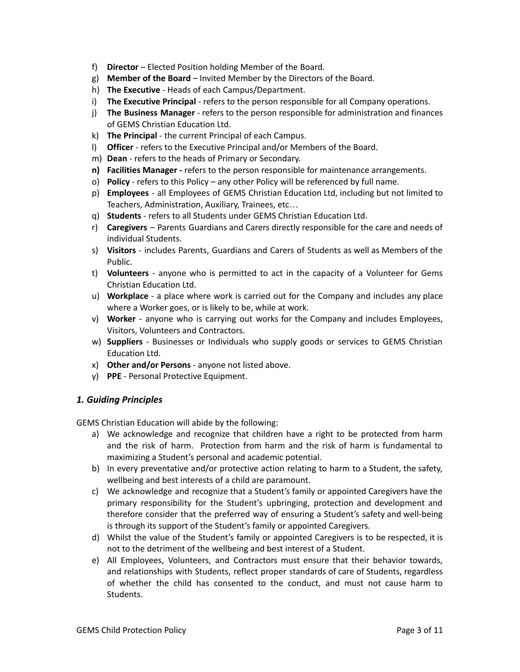- f) **Director** Elected Position holding Member of the Board.
- g) **Member of the Board** Invited Member by the Directors of the Board.
- h) **The Executive** Heads of each Campus/Department.
- i) **The Executive Principal** refers to the person responsible for all Company operations.
- j) **The Business Manager** refers to the person responsible for administration and finances of GEMS Christian Education Ltd.
- k) **The Principal** the current Principal of each Campus.
- l) **Officer** refers to the Executive Principal and/or Members of the Board.
- m) **Dean** refers to the heads of Primary or Secondary.
- **n) Facilities Manager -** refers to the person responsible for maintenance arrangements.
- o) **Policy** refers to this Policy any other Policy will be referenced by full name.
- p) **Employees** all Employees of GEMS Christian Education Ltd, including but not limited to Teachers, Administration, Auxiliary, Trainees, etc…
- q) **Students** refers to all Students under GEMS Christian Education Ltd.
- r) **Caregivers** Parents Guardians and Carers directly responsible for the care and needs of individual Students.
- s) **Visitors** includes Parents, Guardians and Carers of Students as well as Members of the Public.
- t) **Volunteers** anyone who is permitted to act in the capacity of a Volunteer for Gems Christian Education Ltd.
- u) **Workplace** a place where work is carried out for the Company and includes any place where a Worker goes, or is likely to be, while at work.
- v) **Worker** anyone who is carrying out works for the Company and includes Employees, Visitors, Volunteers and Contractors.
- w) **Suppliers** Businesses or Individuals who supply goods or services to GEMS Christian Education Ltd.
- x) **Other and/or Persons** anyone not listed above.
- y) **PPE** Personal Protective Equipment.

#### <span id="page-3-0"></span>*1. Guiding Principles*

GEMS Christian Education will abide by the following:

- a) We acknowledge and recognize that children have a right to be protected from harm and the risk of harm. Protection from harm and the risk of harm is fundamental to maximizing a Student's personal and academic potential.
- b) In every preventative and/or protective action relating to harm to a Student, the safety, wellbeing and best interests of a child are paramount.
- c) We acknowledge and recognize that a Student's family or appointed Caregivers have the primary responsibility for the Student's upbringing, protection and development and therefore consider that the preferred way of ensuring a Student's safety and well-being is through its support of the Student's family or appointed Caregivers.
- d) Whilst the value of the Student's family or appointed Caregivers is to be respected, it is not to the detriment of the wellbeing and best interest of a Student.
- e) All Employees, Volunteers, and Contractors must ensure that their behavior towards, and relationships with Students, reflect proper standards of care of Students, regardless of whether the child has consented to the conduct, and must not cause harm to Students.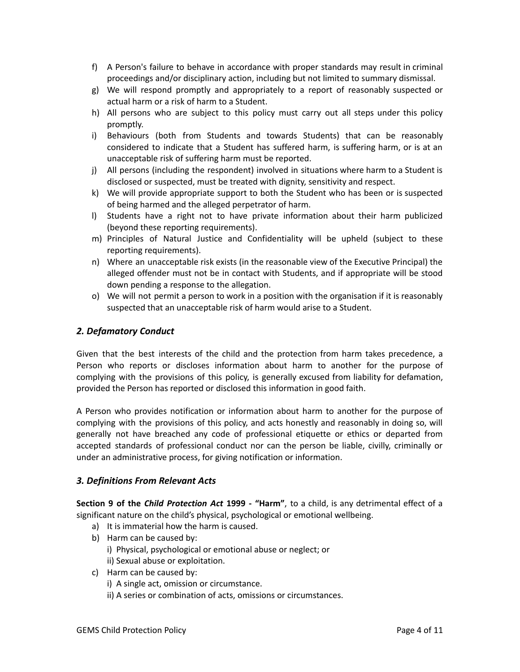- f) A Person's failure to behave in accordance with proper standards may result in criminal proceedings and/or disciplinary action, including but not limited to summary dismissal.
- g) We will respond promptly and appropriately to a report of reasonably suspected or actual harm or a risk of harm to a Student.
- h) All persons who are subject to this policy must carry out all steps under this policy promptly.
- i) Behaviours (both from Students and towards Students) that can be reasonably considered to indicate that a Student has suffered harm, is suffering harm, or is at an unacceptable risk of suffering harm must be reported.
- j) All persons (including the respondent) involved in situations where harm to a Student is disclosed or suspected, must be treated with dignity, sensitivity and respect.
- k) We will provide appropriate support to both the Student who has been or is suspected of being harmed and the alleged perpetrator of harm.
- l) Students have a right not to have private information about their harm publicized (beyond these reporting requirements).
- m) Principles of Natural Justice and Confidentiality will be upheld (subject to these reporting requirements).
- n) Where an unacceptable risk exists (in the reasonable view of the Executive Principal) the alleged offender must not be in contact with Students, and if appropriate will be stood down pending a response to the allegation.
- o) We will not permit a person to work in a position with the organisation if it is reasonably suspected that an unacceptable risk of harm would arise to a Student.

#### <span id="page-4-0"></span>*2. Defamatory Conduct*

Given that the best interests of the child and the protection from harm takes precedence, a Person who reports or discloses information about harm to another for the purpose of complying with the provisions of this policy, is generally excused from liability for defamation, provided the Person has reported or disclosed this information in good faith.

A Person who provides notification or information about harm to another for the purpose of complying with the provisions of this policy, and acts honestly and reasonably in doing so, will generally not have breached any code of professional etiquette or ethics or departed from accepted standards of professional conduct nor can the person be liable, civilly, criminally or under an administrative process, for giving notification or information.

#### <span id="page-4-1"></span>*3. Definitions From Relevant Acts*

**Section 9 of the** *Child Protection Act* **1999 - "Harm"**, to a child, is any detrimental effect of a significant nature on the child's physical, psychological or emotional wellbeing.

- a) It is immaterial how the harm is caused.
- b) Harm can be caused by:
	- i) Physical, psychological or emotional abuse or neglect; or
	- ii) Sexual abuse or exploitation.
- c) Harm can be caused by:
	- i) A single act, omission or circumstance.
	- ii) A series or combination of acts, omissions or circumstances.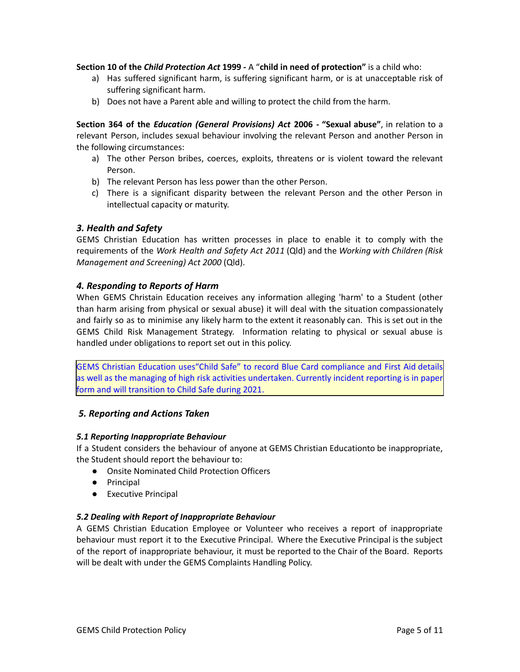**Section 10 of the** *Child Protection Act* **1999 -** A "**child in need of protection"** is a child who:

- a) Has suffered significant harm, is suffering significant harm, or is at unacceptable risk of suffering significant harm.
- b) Does not have a Parent able and willing to protect the child from the harm.

**Section 364 of the** *Education (General Provisions) Act* **2006 - "Sexual abuse"**, in relation to a relevant Person, includes sexual behaviour involving the relevant Person and another Person in the following circumstances:

- a) The other Person bribes, coerces, exploits, threatens or is violent toward the relevant Person.
- b) The relevant Person has less power than the other Person.
- c) There is a significant disparity between the relevant Person and the other Person in intellectual capacity or maturity.

#### <span id="page-5-0"></span>*3. Health and Safety*

GEMS Christian Education has written processes in place to enable it to comply with the requirements of the *Work Health and Safety Act 2011* (Qld) and the *Working with Children (Risk Management and Screening) Act 2000* (Qld).

#### <span id="page-5-1"></span>*4. Responding to Reports of Harm*

When GEMS Christain Education receives any information alleging 'harm' to a Student (other than harm arising from physical or sexual abuse) it will deal with the situation compassionately and fairly so as to minimise any likely harm to the extent it reasonably can. This is set out in the GEMS Child Risk Management Strategy. Information relating to physical or sexual abuse is handled under obligations to report set out in this policy.

GEMS Christian Education uses"Child Safe" to record Blue Card compliance and First Aid details as well as the managing of high risk activities undertaken. Currently incident reporting is in paper form and will transition to Child Safe during 2021.

#### <span id="page-5-2"></span>*5. Reporting and Actions Taken*

#### <span id="page-5-3"></span>*5.1 Reporting Inappropriate Behaviour*

If a Student considers the behaviour of anyone at GEMS Christian Educationto be inappropriate, the Student should report the behaviour to:

- Onsite Nominated Child Protection Officers
- Principal
- Executive Principal

#### <span id="page-5-4"></span>*5.2 Dealing with Report of Inappropriate Behaviour*

A GEMS Christian Education Employee or Volunteer who receives a report of inappropriate behaviour must report it to the Executive Principal. Where the Executive Principal is the subject of the report of inappropriate behaviour, it must be reported to the Chair of the Board. Reports will be dealt with under the GEMS Complaints Handling Policy.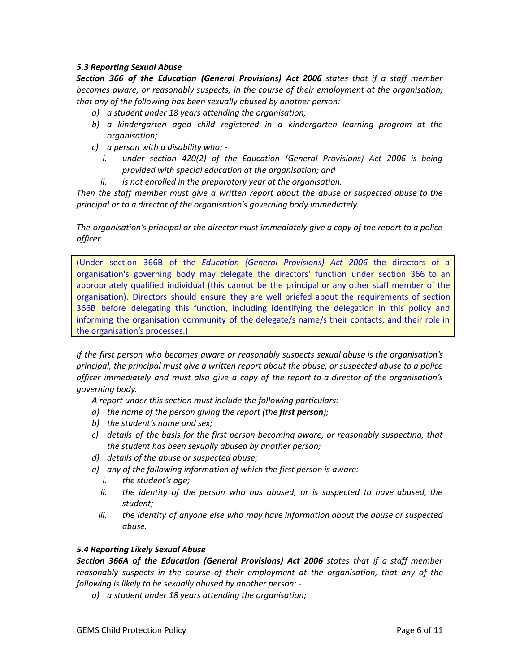#### <span id="page-6-0"></span>*5.3 Reporting Sexual Abuse*

*Section 366 of the Education (General Provisions) Act 2006 states that if a staff member becomes aware, or reasonably suspects, in the course of their employment at the organisation, that any of the following has been sexually abused by another person:*

- *a) a student under 18 years attending the organisation;*
- *b) a kindergarten aged child registered in a kindergarten learning program at the organisation;*
- *c) a person with a disability who:* 
	- *i. under section 420(2) of the Education (General Provisions) Act 2006 is being provided with special education at the organisation; and*
	- *ii. is not enrolled in the preparatory year at the organisation.*

*Then the staff member must give a written report about the abuse or suspected abuse to the principal or to a director of the organisation's governing body immediately.*

*The organisation's principal or the director must immediately give a copy of the report to a police officer.*

(Under section 366B of the *Education (General Provisions) Act 2006* the directors of a organisation's governing body may delegate the directors' function under section 366 to an appropriately qualified individual (this cannot be the principal or any other staff member of the organisation). Directors should ensure they are well briefed about the requirements of section 366B before delegating this function, including identifying the delegation in this policy and informing the organisation community of the delegate/s name/s their contacts, and their role in the organisation's processes.)

*If the first person who becomes aware or reasonably suspects sexual abuse is the organisation's principal, the principal must give a written report about the abuse, or suspected abuse to a police officer immediately and must also give a copy of the report to a director of the organisation's governing body.*

*A report under this section must include the following particulars: -*

- *a) the name of the person giving the report (the first person);*
- *b) the student's name and sex;*
- *c) details of the basis for the first person becoming aware, or reasonably suspecting, that the student has been sexually abused by another person;*
- *d) details of the abuse or suspected abuse;*
- *e) any of the following information of which the first person is aware:* 
	- *i. the student's age;*
	- *ii. the identity of the person who has abused, or is suspected to have abused, the student;*
	- *iii. the identity of anyone else who may have information about the abuse or suspected abuse.*

#### <span id="page-6-1"></span>*5.4 Reporting Likely Sexual Abuse*

*Section 366A of the Education (General Provisions) Act 2006 states that if a staff member reasonably suspects in the course of their employment at the organisation, that any of the following is likely to be sexually abused by another person: -*

*a) a student under 18 years attending the organisation;*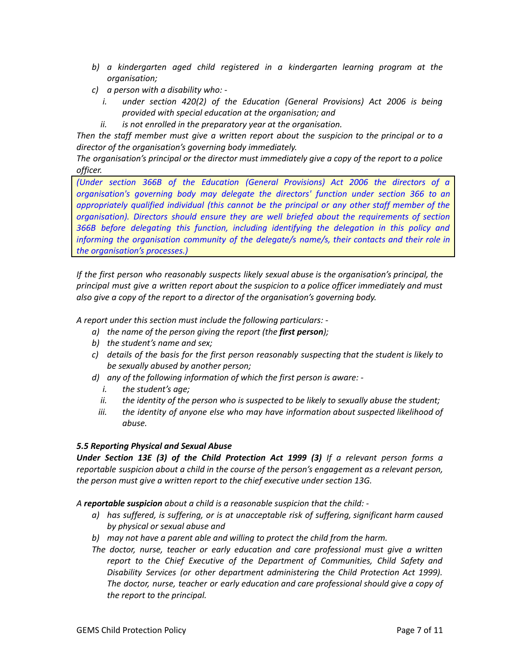- *b) a kindergarten aged child registered in a kindergarten learning program at the organisation;*
- *c) a person with a disability who:* 
	- *i. under section 420(2) of the Education (General Provisions) Act 2006 is being provided with special education at the organisation; and*
	- *ii. is not enrolled in the preparatory year at the organisation.*

*Then the staff member must give a written report about the suspicion to the principal or to a director of the organisation's governing body immediately.*

*The organisation's principal or the director must immediately give a copy of the report to a police officer.*

*(Under section 366B of the Education (General Provisions) Act 2006 the directors of a organisation's governing body may delegate the directors' function under section 366 to an appropriately qualified individual (this cannot be the principal or any other staff member of the organisation). Directors should ensure they are well briefed about the requirements of section 366B before delegating this function, including identifying the delegation in this policy and informing the organisation community of the delegate/s name/s, their contacts and their role in the organisation's processes.)*

*If the first person who reasonably suspects likely sexual abuse is the organisation's principal, the principal must give a written report about the suspicion to a police officer immediately and must also give a copy of the report to a director of the organisation's governing body.*

*A report under this section must include the following particulars: -*

- *a) the name of the person giving the report (the first person);*
- *b) the student's name and sex;*
- *c) details of the basis for the first person reasonably suspecting that the student is likely to be sexually abused by another person;*
- *d) any of the following information of which the first person is aware:* 
	- *i. the student's age;*
	- *ii. the identity of the person who is suspected to be likely to sexually abuse the student;*
	- *iii. the identity of anyone else who may have information about suspected likelihood of abuse.*

#### <span id="page-7-0"></span>*5.5 Reporting Physical and Sexual Abuse*

*Under Section 13E (3) of the Child Protection Act 1999 (3) If a relevant person forms a reportable suspicion about a child in the course of the person's engagement as a relevant person, the person must give a written report to the chief executive under section 13G.*

*A reportable suspicion about a child is a reasonable suspicion that the child: -*

- *a) has suffered, is suffering, or is at unacceptable risk of suffering, significant harm caused by physical or sexual abuse and*
- *b) may not have a parent able and willing to protect the child from the harm.*
- *The doctor, nurse, teacher or early education and care professional must give a written report to the Chief Executive of the Department of Communities, Child Safety and Disability Services (or other department administering the Child Protection Act 1999). The doctor, nurse, teacher or early education and care professional should give a copy of the report to the principal.*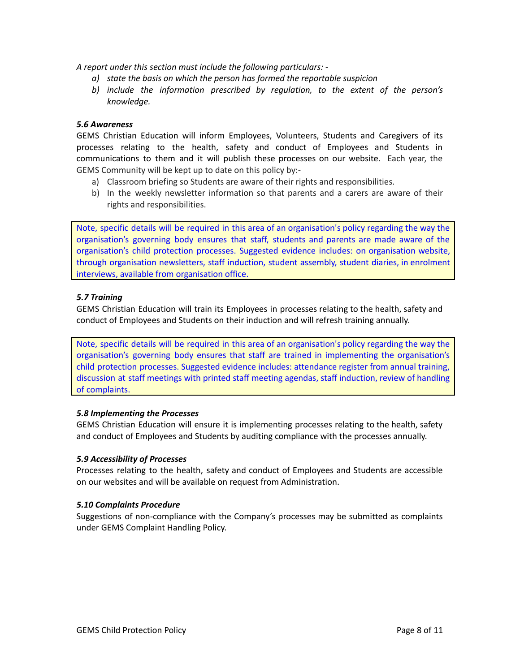*A report under this section must include the following particulars: -*

- *a) state the basis on which the person has formed the reportable suspicion*
- *b) include the information prescribed by regulation, to the extent of the person's knowledge.*

#### <span id="page-8-0"></span>*5.6 Awareness*

GEMS Christian Education will inform Employees, Volunteers, Students and Caregivers of its processes relating to the health, safety and conduct of Employees and Students in communications to them and it will publish these processes on our website. Each year, the GEMS Community will be kept up to date on this policy by:-

- a) Classroom briefing so Students are aware of their rights and responsibilities.
- b) In the weekly newsletter information so that parents and a carers are aware of their rights and responsibilities.

Note, specific details will be required in this area of an organisation's policy regarding the way the organisation's governing body ensures that staff, students and parents are made aware of the organisation's child protection processes. Suggested evidence includes: on organisation website, through organisation newsletters, staff induction, student assembly, student diaries, in enrolment interviews, available from organisation office.

#### <span id="page-8-1"></span>*5.7 Training*

GEMS Christian Education will train its Employees in processes relating to the health, safety and conduct of Employees and Students on their induction and will refresh training annually.

Note, specific details will be required in this area of an organisation's policy regarding the way the organisation's governing body ensures that staff are trained in implementing the organisation's child protection processes. Suggested evidence includes: attendance register from annual training, discussion at staff meetings with printed staff meeting agendas, staff induction, review of handling of complaints.

#### <span id="page-8-2"></span>*5.8 Implementing the Processes*

GEMS Christian Education will ensure it is implementing processes relating to the health, safety and conduct of Employees and Students by auditing compliance with the processes annually.

#### <span id="page-8-3"></span>*5.9 Accessibility of Processes*

Processes relating to the health, safety and conduct of Employees and Students are accessible on our websites and will be available on request from Administration.

#### <span id="page-8-4"></span>*5.10 Complaints Procedure*

Suggestions of non-compliance with the Company's processes may be submitted as complaints under GEMS Complaint Handling Policy.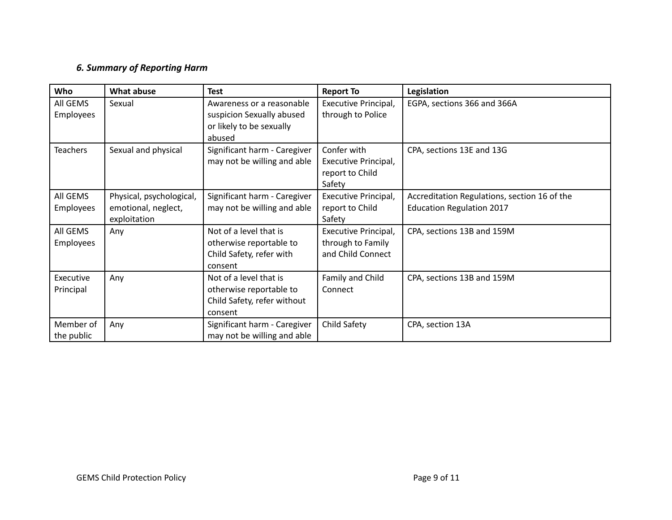### *6. Summary of Reporting Harm*

<span id="page-9-0"></span>

| Who                     | What abuse                                                      | <b>Test</b>                                                                                  | <b>Report To</b>                                                 | Legislation                                                                      |
|-------------------------|-----------------------------------------------------------------|----------------------------------------------------------------------------------------------|------------------------------------------------------------------|----------------------------------------------------------------------------------|
| All GEMS<br>Employees   | Sexual                                                          | Awareness or a reasonable<br>suspicion Sexually abused<br>or likely to be sexually<br>abused | Executive Principal,<br>through to Police                        | EGPA, sections 366 and 366A                                                      |
| <b>Teachers</b>         | Sexual and physical                                             | Significant harm - Caregiver<br>may not be willing and able                                  | Confer with<br>Executive Principal,<br>report to Child<br>Safety | CPA, sections 13E and 13G                                                        |
| All GEMS<br>Employees   | Physical, psychological,<br>emotional, neglect,<br>exploitation | Significant harm - Caregiver<br>may not be willing and able                                  | Executive Principal,<br>report to Child<br>Safety                | Accreditation Regulations, section 16 of the<br><b>Education Regulation 2017</b> |
| All GEMS<br>Employees   | Any                                                             | Not of a level that is<br>otherwise reportable to<br>Child Safety, refer with<br>consent     | Executive Principal,<br>through to Family<br>and Child Connect   | CPA, sections 13B and 159M                                                       |
| Executive<br>Principal  | Any                                                             | Not of a level that is<br>otherwise reportable to<br>Child Safety, refer without<br>consent  | Family and Child<br>Connect                                      | CPA, sections 13B and 159M                                                       |
| Member of<br>the public | Any                                                             | Significant harm - Caregiver<br>may not be willing and able                                  | Child Safety                                                     | CPA, section 13A                                                                 |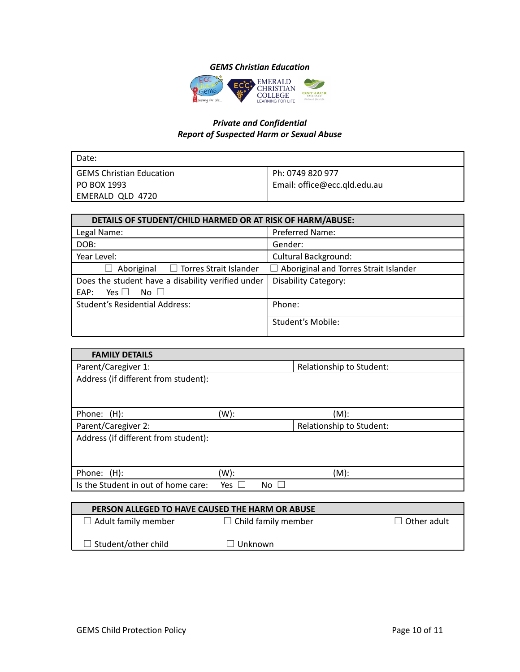#### *GEMS Christian Education*



#### *Private and Confidential Report of Suspected Harm or Sexual Abuse*

<span id="page-10-1"></span><span id="page-10-0"></span>

| l Date:                    |                              |
|----------------------------|------------------------------|
| l GEMS Christian Education | Ph: 0749 820 977             |
| l PO BOX 1993              | Email: office@ecc.qld.edu.au |
| EMERALD QLD 4720           |                              |

| DETAILS OF STUDENT/CHILD HARMED OR AT RISK OF HARM/ABUSE: |                                              |  |
|-----------------------------------------------------------|----------------------------------------------|--|
| Legal Name:                                               | <b>Preferred Name:</b>                       |  |
| DOB:                                                      | Gender:                                      |  |
| Year Level:                                               | <b>Cultural Background:</b>                  |  |
| $\Box$ Torres Strait Islander<br>Aboriginal<br>$\perp$    | $\Box$ Aboriginal and Torres Strait Islander |  |
| Does the student have a disability verified under         | <b>Disability Category:</b>                  |  |
| Yes $\Box$<br>No $\square$<br>EAP:                        |                                              |  |
| <b>Student's Residential Address:</b>                     | Phone:                                       |  |
|                                                           | <b>Student's Mobile:</b>                     |  |

| <b>FAMILY DETAILS</b>                           |         |                                |                          |                                                  |
|-------------------------------------------------|---------|--------------------------------|--------------------------|--------------------------------------------------|
| Parent/Caregiver 1:                             |         |                                | Relationship to Student: |                                                  |
| Address (if different from student):            |         |                                |                          |                                                  |
|                                                 |         |                                |                          |                                                  |
|                                                 |         |                                |                          |                                                  |
| Phone: (H):                                     | $(W)$ : |                                | $(M)$ :                  |                                                  |
| Parent/Caregiver 2:                             |         |                                | Relationship to Student: |                                                  |
| Address (if different from student):            |         |                                |                          |                                                  |
|                                                 |         |                                |                          |                                                  |
|                                                 |         |                                |                          |                                                  |
| Phone: (H):                                     | (W):    |                                | $(M)$ :                  |                                                  |
| Is the Student in out of home care:             | Yes     | No.                            |                          |                                                  |
|                                                 |         |                                |                          |                                                  |
| PERSON ALLEGED TO HAVE CAUSED THE HARM OR ABUSE |         |                                |                          |                                                  |
| $\Box$ A dult formative proposition             |         | $\Box$ Child family means have |                          | $\Box$ $\Box$ $\Box$ $\Box$ $\Box$ $\Box$ $\Box$ |

| PERSON ALLEGED TO HAVE CAUSED THE HARM OR ABUSE |                            |                    |  |  |
|-------------------------------------------------|----------------------------|--------------------|--|--|
| $\Box$ Adult family member                      | $\Box$ Child family member | $\Box$ Other adult |  |  |
| $\Box$ Student/other child                      | $\Box$ Unknown             |                    |  |  |